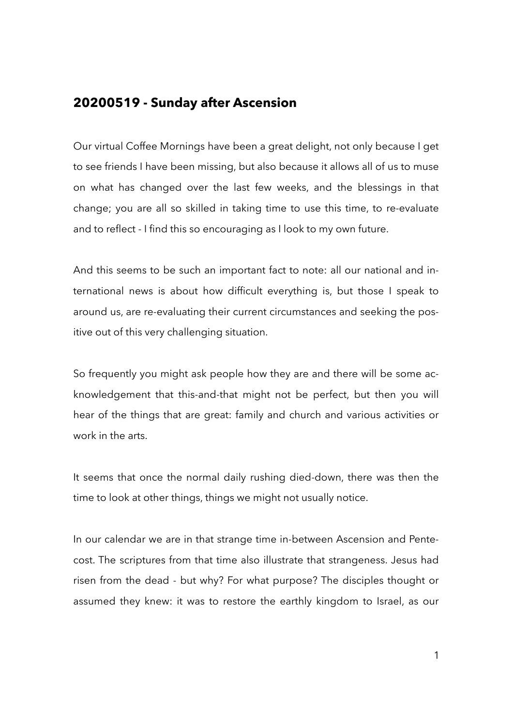## **20200519 - Sunday after Ascension**

Our virtual Coffee Mornings have been a great delight, not only because I get to see friends I have been missing, but also because it allows all of us to muse on what has changed over the last few weeks, and the blessings in that change; you are all so skilled in taking time to use this time, to re-evaluate and to reflect - I find this so encouraging as I look to my own future.

And this seems to be such an important fact to note: all our national and international news is about how difficult everything is, but those I speak to around us, are re-evaluating their current circumstances and seeking the positive out of this very challenging situation.

So frequently you might ask people how they are and there will be some acknowledgement that this-and-that might not be perfect, but then you will hear of the things that are great: family and church and various activities or work in the arts.

It seems that once the normal daily rushing died-down, there was then the time to look at other things, things we might not usually notice.

In our calendar we are in that strange time in-between Ascension and Pentecost. The scriptures from that time also illustrate that strangeness. Jesus had risen from the dead - but why? For what purpose? The disciples thought or assumed they knew: it was to restore the earthly kingdom to Israel, as our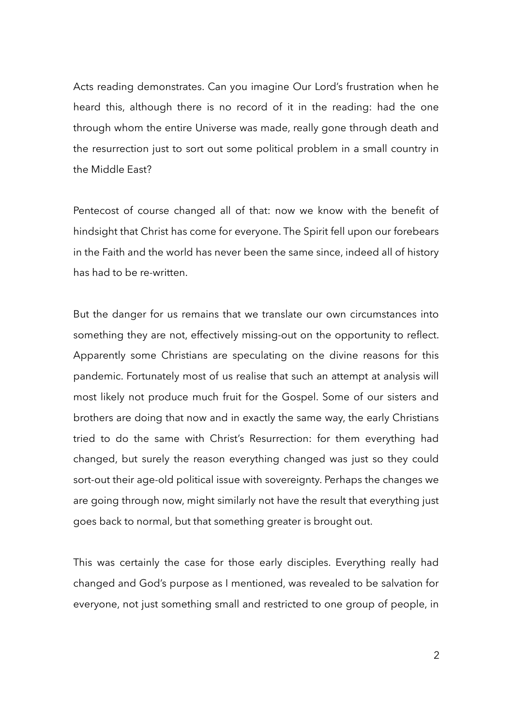Acts reading demonstrates. Can you imagine Our Lord's frustration when he heard this, although there is no record of it in the reading: had the one through whom the entire Universe was made, really gone through death and the resurrection just to sort out some political problem in a small country in the Middle East?

Pentecost of course changed all of that: now we know with the benefit of hindsight that Christ has come for everyone. The Spirit fell upon our forebears in the Faith and the world has never been the same since, indeed all of history has had to be re-written.

But the danger for us remains that we translate our own circumstances into something they are not, effectively missing-out on the opportunity to reflect. Apparently some Christians are speculating on the divine reasons for this pandemic. Fortunately most of us realise that such an attempt at analysis will most likely not produce much fruit for the Gospel. Some of our sisters and brothers are doing that now and in exactly the same way, the early Christians tried to do the same with Christ's Resurrection: for them everything had changed, but surely the reason everything changed was just so they could sort-out their age-old political issue with sovereignty. Perhaps the changes we are going through now, might similarly not have the result that everything just goes back to normal, but that something greater is brought out.

This was certainly the case for those early disciples. Everything really had changed and God's purpose as I mentioned, was revealed to be salvation for everyone, not just something small and restricted to one group of people, in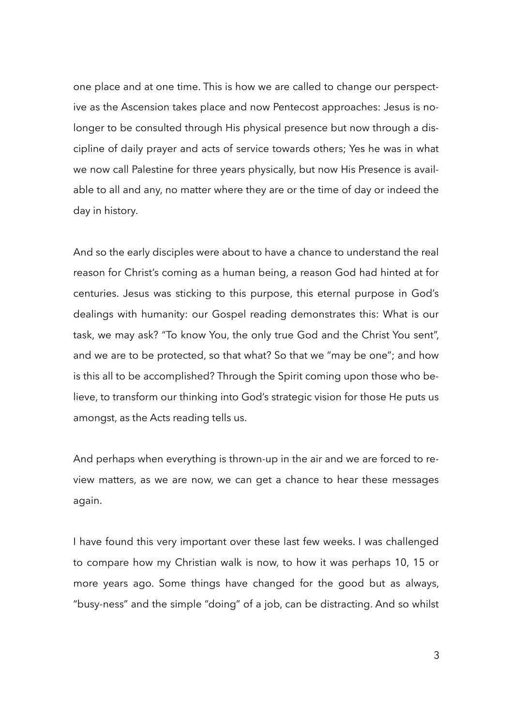one place and at one time. This is how we are called to change our perspective as the Ascension takes place and now Pentecost approaches: Jesus is nolonger to be consulted through His physical presence but now through a discipline of daily prayer and acts of service towards others; Yes he was in what we now call Palestine for three years physically, but now His Presence is available to all and any, no matter where they are or the time of day or indeed the day in history.

And so the early disciples were about to have a chance to understand the real reason for Christ's coming as a human being, a reason God had hinted at for centuries. Jesus was sticking to this purpose, this eternal purpose in God's dealings with humanity: our Gospel reading demonstrates this: What is our task, we may ask? "To know You, the only true God and the Christ You sent", and we are to be protected, so that what? So that we "may be one"; and how is this all to be accomplished? Through the Spirit coming upon those who believe, to transform our thinking into God's strategic vision for those He puts us amongst, as the Acts reading tells us.

And perhaps when everything is thrown-up in the air and we are forced to review matters, as we are now, we can get a chance to hear these messages again.

I have found this very important over these last few weeks. I was challenged to compare how my Christian walk is now, to how it was perhaps 10, 15 or more years ago. Some things have changed for the good but as always, "busy-ness" and the simple "doing" of a job, can be distracting. And so whilst